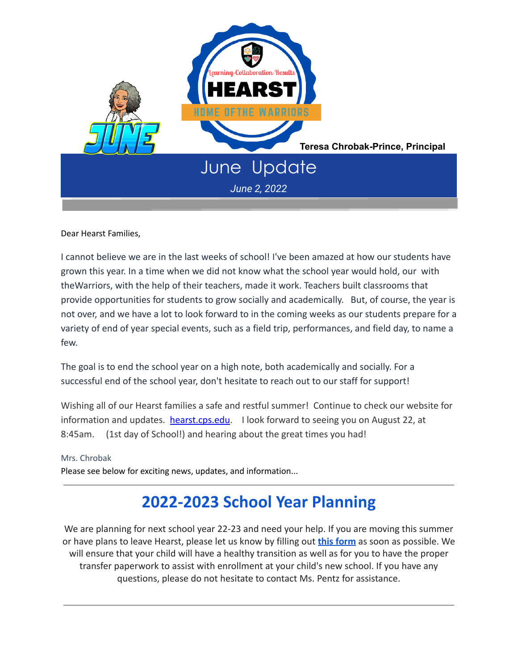

Dear Hearst Families,

I cannot believe we are in the last weeks of school! I've been amazed at how our students have grown this year. In a time when we did not know what the school year would hold, our with theWarriors, with the help of their teachers, made it work. Teachers built classrooms that provide opportunities for students to grow socially and academically. But, of course, the year is not over, and we have a lot to look forward to in the coming weeks as our students prepare for a variety of end of year special events, such as a field trip, performances, and field day, to name a few.

The goal is to end the school year on a high note, both academically and socially. For a successful end of the school year, don't hesitate to reach out to our staff for support!

Wishing all of our Hearst families a safe and restful summer! Continue to check our website for information and updates. hearst.cps.edu. I look forward to seeing you on August 22, at 8:45am. (1st day of School!) and hearing about the great times you had!

Mrs. Chrobak

Please see below for exciting news, updates, and information...

## **2022-2023 School Year Planning**

We are planning for next school year 22-23 and need your help. If you are moving this summer or have plans to leave Hearst, please let us know by filling out **[this form](https://forms.gle/yRvCxDvVBTV9rcfu8)** as soon as possible. We will ensure that your child will have a healthy transition as well as for you to have the proper transfer paperwork to assist with enrollment at your child's new school. If you have any questions, please do not hesitate to contact Ms. Pentz for assistance.